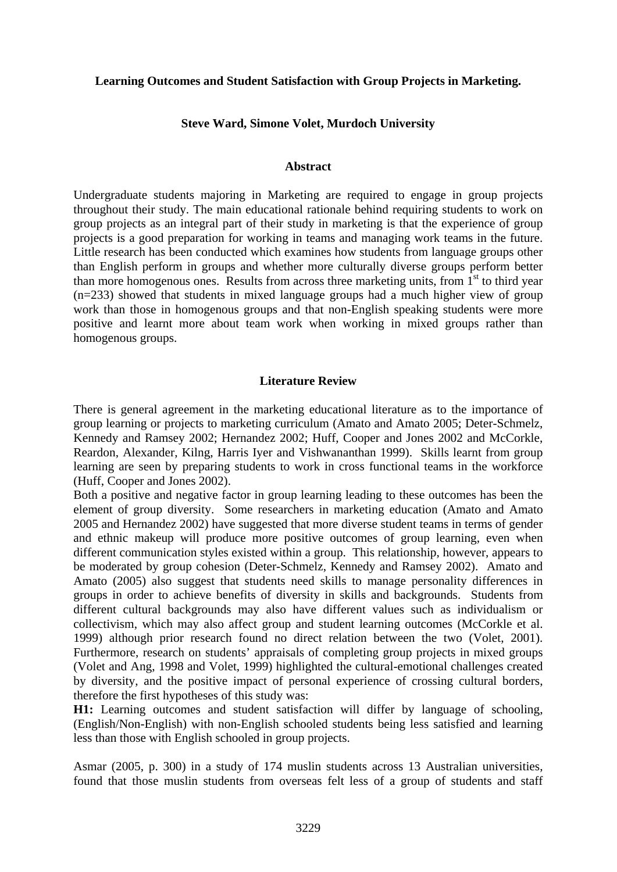### **Learning Outcomes and Student Satisfaction with Group Projects in Marketing.**

### **Steve Ward, Simone Volet, Murdoch University**

#### **Abstract**

Undergraduate students majoring in Marketing are required to engage in group projects throughout their study. The main educational rationale behind requiring students to work on group projects as an integral part of their study in marketing is that the experience of group projects is a good preparation for working in teams and managing work teams in the future. Little research has been conducted which examines how students from language groups other than English perform in groups and whether more culturally diverse groups perform better than more homogenous ones. Results from across three marketing units, from  $1<sup>st</sup>$  to third year (n=233) showed that students in mixed language groups had a much higher view of group work than those in homogenous groups and that non-English speaking students were more positive and learnt more about team work when working in mixed groups rather than homogenous groups.

#### **Literature Review**

There is general agreement in the marketing educational literature as to the importance of group learning or projects to marketing curriculum (Amato and Amato 2005; Deter-Schmelz, Kennedy and Ramsey 2002; Hernandez 2002; Huff, Cooper and Jones 2002 and McCorkle, Reardon, Alexander, Kilng, Harris Iyer and Vishwananthan 1999). Skills learnt from group learning are seen by preparing students to work in cross functional teams in the workforce (Huff, Cooper and Jones 2002).

Both a positive and negative factor in group learning leading to these outcomes has been the element of group diversity. Some researchers in marketing education (Amato and Amato 2005 and Hernandez 2002) have suggested that more diverse student teams in terms of gender and ethnic makeup will produce more positive outcomes of group learning, even when different communication styles existed within a group. This relationship, however, appears to be moderated by group cohesion (Deter-Schmelz, Kennedy and Ramsey 2002). Amato and Amato (2005) also suggest that students need skills to manage personality differences in groups in order to achieve benefits of diversity in skills and backgrounds. Students from different cultural backgrounds may also have different values such as individualism or collectivism, which may also affect group and student learning outcomes (McCorkle et al. 1999) although prior research found no direct relation between the two (Volet, 2001). Furthermore, research on students' appraisals of completing group projects in mixed groups (Volet and Ang, 1998 and Volet, 1999) highlighted the cultural-emotional challenges created by diversity, and the positive impact of personal experience of crossing cultural borders, therefore the first hypotheses of this study was:

**H1:** Learning outcomes and student satisfaction will differ by language of schooling, (English/Non-English) with non-English schooled students being less satisfied and learning less than those with English schooled in group projects.

Asmar (2005, p. 300) in a study of 174 muslin students across 13 Australian universities, found that those muslin students from overseas felt less of a group of students and staff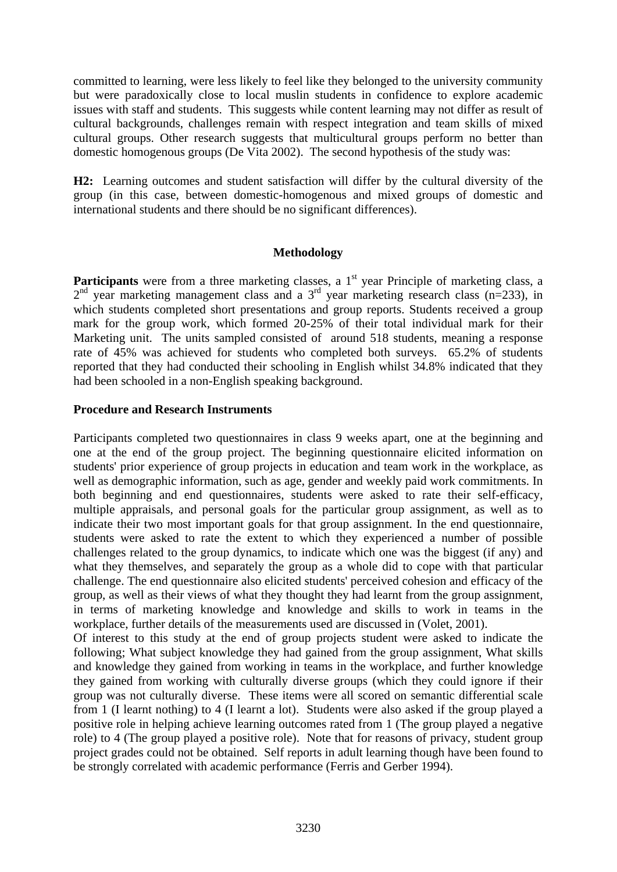committed to learning, were less likely to feel like they belonged to the university community but were paradoxically close to local muslin students in confidence to explore academic issues with staff and students. This suggests while content learning may not differ as result of cultural backgrounds, challenges remain with respect integration and team skills of mixed cultural groups. Other research suggests that multicultural groups perform no better than domestic homogenous groups (De Vita 2002). The second hypothesis of the study was:

**H2:** Learning outcomes and student satisfaction will differ by the cultural diversity of the group (in this case, between domestic-homogenous and mixed groups of domestic and international students and there should be no significant differences).

# **Methodology**

**Participants** were from a three marketing classes, a 1<sup>st</sup> year Principle of marketing class, a  $2<sup>nd</sup>$  year marketing management class and a  $3<sup>rd</sup>$  year marketing research class (n=233), in which students completed short presentations and group reports. Students received a group mark for the group work, which formed 20-25% of their total individual mark for their Marketing unit. The units sampled consisted of around 518 students, meaning a response rate of 45% was achieved for students who completed both surveys. 65.2% of students reported that they had conducted their schooling in English whilst 34.8% indicated that they had been schooled in a non-English speaking background.

# **Procedure and Research Instruments**

Participants completed two questionnaires in class 9 weeks apart, one at the beginning and one at the end of the group project. The beginning questionnaire elicited information on students' prior experience of group projects in education and team work in the workplace, as well as demographic information, such as age, gender and weekly paid work commitments. In both beginning and end questionnaires, students were asked to rate their self-efficacy, multiple appraisals, and personal goals for the particular group assignment, as well as to indicate their two most important goals for that group assignment. In the end questionnaire, students were asked to rate the extent to which they experienced a number of possible challenges related to the group dynamics, to indicate which one was the biggest (if any) and what they themselves, and separately the group as a whole did to cope with that particular challenge. The end questionnaire also elicited students' perceived cohesion and efficacy of the group, as well as their views of what they thought they had learnt from the group assignment, in terms of marketing knowledge and knowledge and skills to work in teams in the workplace, further details of the measurements used are discussed in (Volet, 2001).

Of interest to this study at the end of group projects student were asked to indicate the following; What subject knowledge they had gained from the group assignment, What skills and knowledge they gained from working in teams in the workplace, and further knowledge they gained from working with culturally diverse groups (which they could ignore if their group was not culturally diverse. These items were all scored on semantic differential scale from 1 (I learnt nothing) to 4 (I learnt a lot). Students were also asked if the group played a positive role in helping achieve learning outcomes rated from 1 (The group played a negative role) to 4 (The group played a positive role). Note that for reasons of privacy, student group project grades could not be obtained. Self reports in adult learning though have been found to be strongly correlated with academic performance (Ferris and Gerber 1994).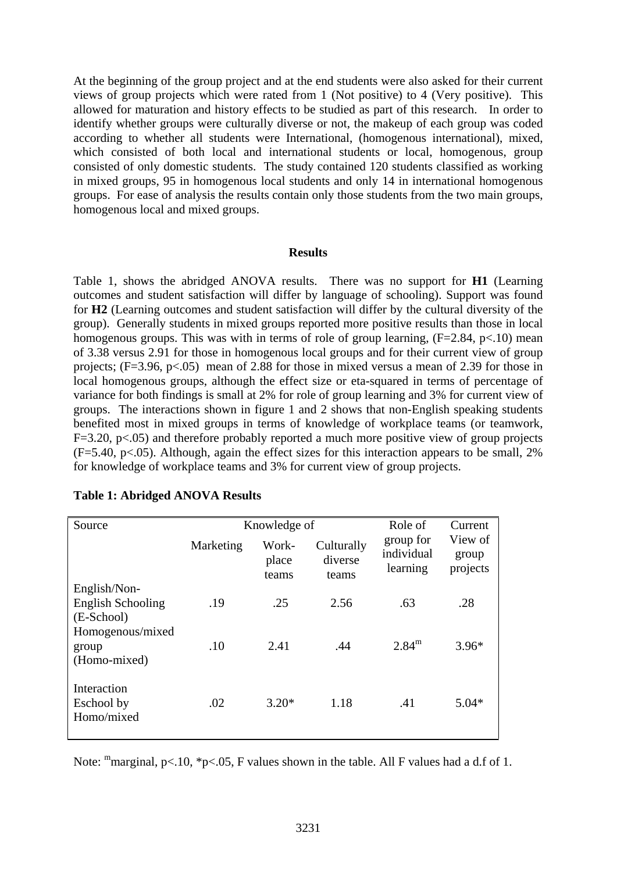At the beginning of the group project and at the end students were also asked for their current views of group projects which were rated from 1 (Not positive) to 4 (Very positive). This allowed for maturation and history effects to be studied as part of this research. In order to identify whether groups were culturally diverse or not, the makeup of each group was coded according to whether all students were International, (homogenous international), mixed, which consisted of both local and international students or local, homogenous, group consisted of only domestic students. The study contained 120 students classified as working in mixed groups, 95 in homogenous local students and only 14 in international homogenous groups. For ease of analysis the results contain only those students from the two main groups, homogenous local and mixed groups.

#### **Results**

Table 1, shows the abridged ANOVA results. There was no support for **H1** (Learning outcomes and student satisfaction will differ by language of schooling). Support was found for **H2** (Learning outcomes and student satisfaction will differ by the cultural diversity of the group). Generally students in mixed groups reported more positive results than those in local homogenous groups. This was with in terms of role of group learning,  $(F=2.84, p<.10)$  mean of 3.38 versus 2.91 for those in homogenous local groups and for their current view of group projects; (F=3.96, p<.05) mean of 2.88 for those in mixed versus a mean of 2.39 for those in local homogenous groups, although the effect size or eta-squared in terms of percentage of variance for both findings is small at 2% for role of group learning and 3% for current view of groups. The interactions shown in figure 1 and 2 shows that non-English speaking students benefited most in mixed groups in terms of knowledge of workplace teams (or teamwork,  $F=3.20$ ,  $p<0.05$ ) and therefore probably reported a much more positive view of group projects  $(F=5.40, p<0.05)$ . Although, again the effect sizes for this interaction appears to be small, 2% for knowledge of workplace teams and 3% for current view of group projects.

| Source                                                  | Knowledge of |                         |                                | Role of                             | Current                      |
|---------------------------------------------------------|--------------|-------------------------|--------------------------------|-------------------------------------|------------------------------|
|                                                         | Marketing    | Work-<br>place<br>teams | Culturally<br>diverse<br>teams | group for<br>individual<br>learning | View of<br>group<br>projects |
| English/Non-                                            |              |                         |                                |                                     |                              |
| <b>English Schooling</b>                                | .19          | .25                     | 2.56                           | .63                                 | .28                          |
| (E-School)<br>Homogenous/mixed<br>group<br>(Homo-mixed) | .10          | 2.41                    | .44                            | $2.84^{\rm m}$                      | $3.96*$                      |
| Interaction<br>Eschool by<br>Homo/mixed                 | .02          | $3.20*$                 | 1.18                           | .41                                 | $5.04*$                      |

#### **Table 1: Abridged ANOVA Results**

Note: "marginal, p<.10, \*p<.05, F values shown in the table. All F values had a d.f of 1.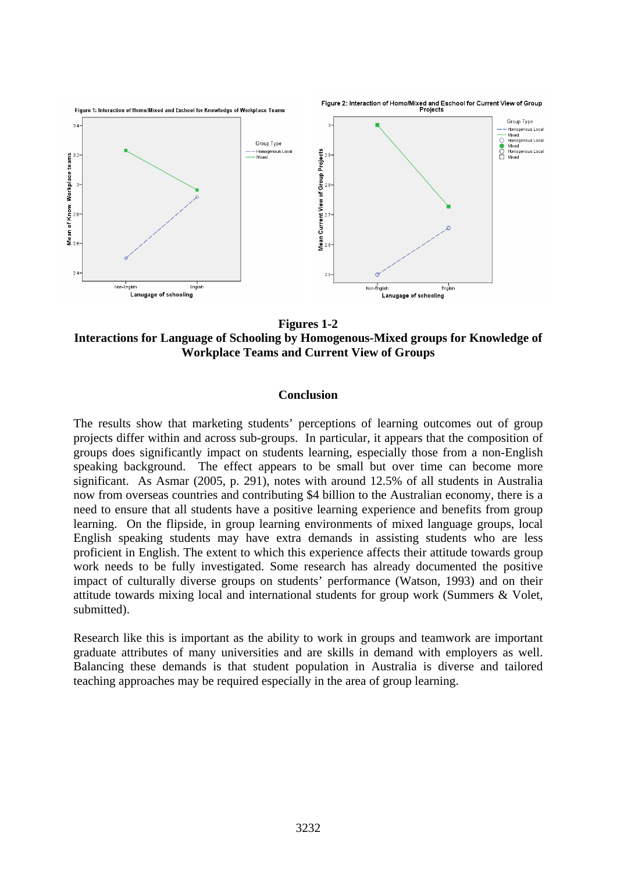

**Figures 1-2 Interactions for Language of Schooling by Homogenous-Mixed groups for Knowledge of Workplace Teams and Current View of Groups** 

#### **Conclusion**

The results show that marketing students' perceptions of learning outcomes out of group projects differ within and across sub-groups. In particular, it appears that the composition of groups does significantly impact on students learning, especially those from a non-English speaking background. The effect appears to be small but over time can become more significant. As Asmar (2005, p. 291), notes with around 12.5% of all students in Australia now from overseas countries and contributing \$4 billion to the Australian economy, there is a need to ensure that all students have a positive learning experience and benefits from group learning. On the flipside, in group learning environments of mixed language groups, local English speaking students may have extra demands in assisting students who are less proficient in English. The extent to which this experience affects their attitude towards group work needs to be fully investigated. Some research has already documented the positive impact of culturally diverse groups on students' performance (Watson, 1993) and on their attitude towards mixing local and international students for group work (Summers & Volet, submitted).

Research like this is important as the ability to work in groups and teamwork are important graduate attributes of many universities and are skills in demand with employers as well. Balancing these demands is that student population in Australia is diverse and tailored teaching approaches may be required especially in the area of group learning.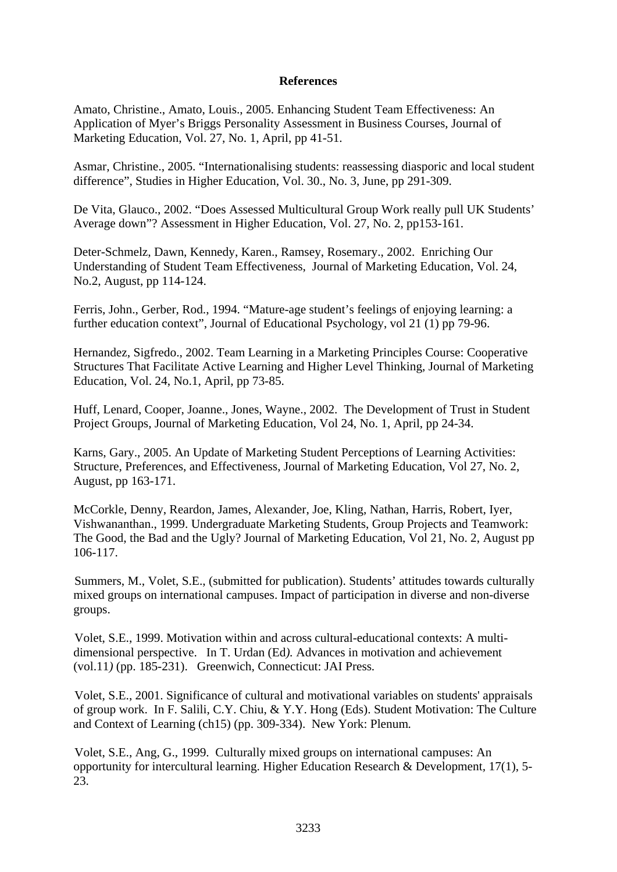# **References**

Amato, Christine., Amato, Louis., 2005. Enhancing Student Team Effectiveness: An Application of Myer's Briggs Personality Assessment in Business Courses, Journal of Marketing Education, Vol. 27, No. 1, April, pp 41-51.

Asmar, Christine., 2005. "Internationalising students: reassessing diasporic and local student difference", Studies in Higher Education, Vol. 30., No. 3, June, pp 291-309.

De Vita, Glauco., 2002. "Does Assessed Multicultural Group Work really pull UK Students' Average down"? Assessment in Higher Education, Vol. 27, No. 2, pp153-161.

Deter-Schmelz, Dawn, Kennedy, Karen., Ramsey, Rosemary., 2002. Enriching Our Understanding of Student Team Effectiveness, Journal of Marketing Education, Vol. 24, No.2, August, pp 114-124.

Ferris, John., Gerber, Rod., 1994. "Mature-age student's feelings of enjoying learning: a further education context", Journal of Educational Psychology, vol 21 (1) pp 79-96.

Hernandez, Sigfredo., 2002. Team Learning in a Marketing Principles Course: Cooperative Structures That Facilitate Active Learning and Higher Level Thinking, Journal of Marketing Education, Vol. 24, No.1, April, pp 73-85.

Huff, Lenard, Cooper, Joanne., Jones, Wayne., 2002. The Development of Trust in Student Project Groups, Journal of Marketing Education, Vol 24, No. 1, April, pp 24-34.

Karns, Gary., 2005. An Update of Marketing Student Perceptions of Learning Activities: Structure, Preferences, and Effectiveness, Journal of Marketing Education, Vol 27, No. 2, August, pp 163-171.

McCorkle, Denny, Reardon, James, Alexander, Joe, Kling, Nathan, Harris, Robert, Iyer, Vishwananthan., 1999. Undergraduate Marketing Students, Group Projects and Teamwork: The Good, the Bad and the Ugly? Journal of Marketing Education, Vol 21, No. 2, August pp 106-117.

Summers, M., Volet, S.E., (submitted for publication). Students' attitudes towards culturally mixed groups on international campuses. Impact of participation in diverse and non-diverse groups.

Volet, S.E., 1999. Motivation within and across cultural-educational contexts: A multidimensional perspective. In T. Urdan (Ed*).* Advances in motivation and achievement (vol.11*)* (pp. 185-231).Greenwich, Connecticut: JAI Press*.*

Volet, S.E., 2001. Significance of cultural and motivational variables on students' appraisals of group work. In F. Salili, C.Y. Chiu, & Y.Y. Hong (Eds). Student Motivation: The Culture and Context of Learning (ch15) (pp. 309-334).New York: Plenum*.*

Volet, S.E., Ang, G., 1999. Culturally mixed groups on international campuses: An opportunity for intercultural learning. Higher Education Research & Development*,* 17(1), 5- 23.